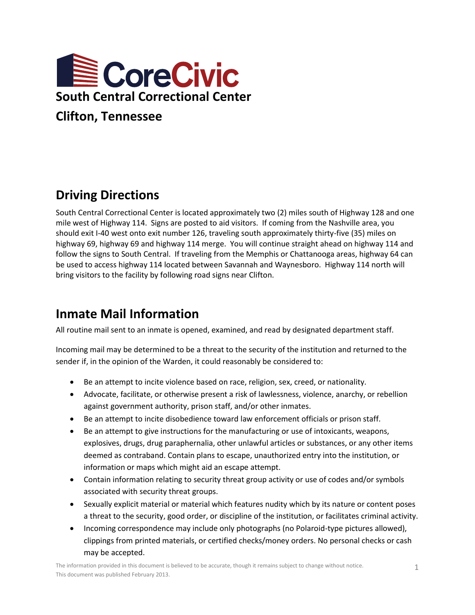

# **Driving Directions**

South Central Correctional Center is located approximately two (2) miles south of Highway 128 and one mile west of Highway 114. Signs are posted to aid visitors. If coming from the Nashville area, you should exit I-40 west onto exit number 126, traveling south approximately thirty-five (35) miles on highway 69, highway 69 and highway 114 merge. You will continue straight ahead on highway 114 and follow the signs to South Central. If traveling from the Memphis or Chattanooga areas, highway 64 can be used to access highway 114 located between Savannah and Waynesboro. Highway 114 north will bring visitors to the facility by following road signs near Clifton.

## **Inmate Mail Information**

All routine mail sent to an inmate is opened, examined, and read by designated department staff.

Incoming mail may be determined to be a threat to the security of the institution and returned to the sender if, in the opinion of the Warden, it could reasonably be considered to:

- Be an attempt to incite violence based on race, religion, sex, creed, or nationality.
- Advocate, facilitate, or otherwise present a risk of lawlessness, violence, anarchy, or rebellion against government authority, prison staff, and/or other inmates.
- Be an attempt to incite disobedience toward law enforcement officials or prison staff.
- Be an attempt to give instructions for the manufacturing or use of intoxicants, weapons, explosives, drugs, drug paraphernalia, other unlawful articles or substances, or any other items deemed as contraband. Contain plans to escape, unauthorized entry into the institution, or information or maps which might aid an escape attempt.
- Contain information relating to security threat group activity or use of codes and/or symbols associated with security threat groups.
- Sexually explicit material or material which features nudity which by its nature or content poses a threat to the security, good order, or discipline of the institution, or facilitates criminal activity.
- Incoming correspondence may include only photographs (no Polaroid-type pictures allowed), clippings from printed materials, or certified checks/money orders. No personal checks or cash may be accepted.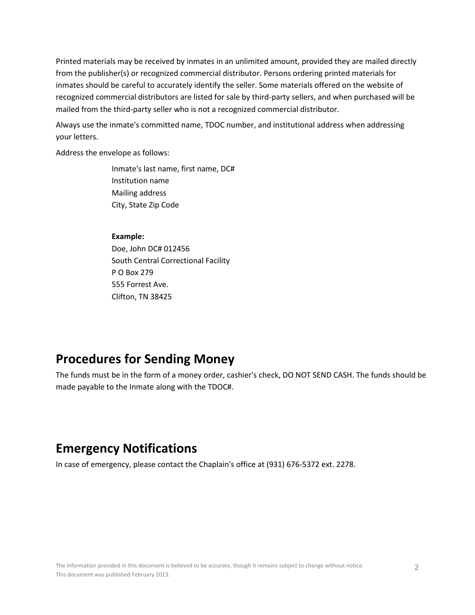Printed materials may be received by inmates in an unlimited amount, provided they are mailed directly from the publisher(s) or recognized commercial distributor. Persons ordering printed materials for inmates should be careful to accurately identify the seller. Some materials offered on the website of recognized commercial distributors are listed for sale by third-party sellers, and when purchased will be mailed from the third-party seller who is not a recognized commercial distributor.

Always use the inmate's committed name, TDOC number, and institutional address when addressing your letters.

Address the envelope as follows:

Inmate's last name, first name, DC# Institution name Mailing address City, State Zip Code

#### **Example:**

Doe, John DC# 012456 South Central Correctional Facility P O Box 279 555 Forrest Ave. Clifton, TN 38425

### **Procedures for Sending Money**

The funds must be in the form of a money order, cashier's check, DO NOT SEND CASH. The funds should be made payable to the Inmate along with the TDOC#.

## **Emergency Notifications**

In case of emergency, please contact the Chaplain's office at (931) 676-5372 ext. 2278.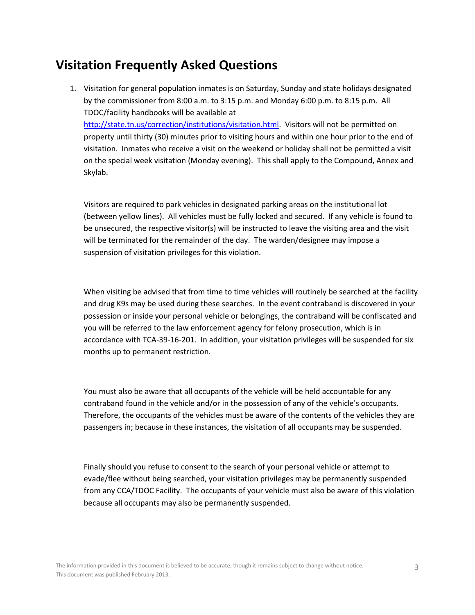## **Visitation Frequently Asked Questions**

1. Visitation for general population inmates is on Saturday, Sunday and state holidays designated by the commissioner from 8:00 a.m. to 3:15 p.m. and Monday 6:00 p.m. to 8:15 p.m. All TDOC/facility handbooks will be available at

[http://state.tn.us/correction/institutions/visitation.html.](http://state.tn.us/correction/institutions/visitation.html) Visitors will not be permitted on property until thirty (30) minutes prior to visiting hours and within one hour prior to the end of visitation. Inmates who receive a visit on the weekend or holiday shall not be permitted a visit on the special week visitation (Monday evening). This shall apply to the Compound, Annex and Skylab.

Visitors are required to park vehicles in designated parking areas on the institutional lot (between yellow lines). All vehicles must be fully locked and secured. If any vehicle is found to be unsecured, the respective visitor(s) will be instructed to leave the visiting area and the visit will be terminated for the remainder of the day. The warden/designee may impose a suspension of visitation privileges for this violation.

When visiting be advised that from time to time vehicles will routinely be searched at the facility and drug K9s may be used during these searches. In the event contraband is discovered in your possession or inside your personal vehicle or belongings, the contraband will be confiscated and you will be referred to the law enforcement agency for felony prosecution, which is in accordance with TCA-39-16-201. In addition, your visitation privileges will be suspended for six months up to permanent restriction.

You must also be aware that all occupants of the vehicle will be held accountable for any contraband found in the vehicle and/or in the possession of any of the vehicle's occupants. Therefore, the occupants of the vehicles must be aware of the contents of the vehicles they are passengers in; because in these instances, the visitation of all occupants may be suspended.

Finally should you refuse to consent to the search of your personal vehicle or attempt to evade/flee without being searched, your visitation privileges may be permanently suspended from any CCA/TDOC Facility. The occupants of your vehicle must also be aware of this violation because all occupants may also be permanently suspended.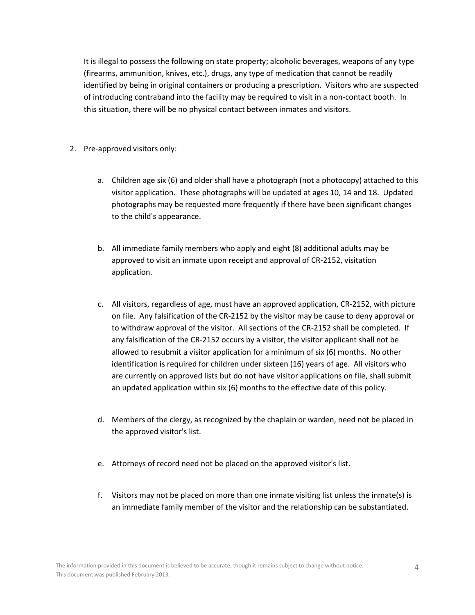It is illegal to possess the following on state property; alcoholic beverages, weapons of any type (firearms, ammunition, knives, etc.), drugs, any type of medication that cannot be readily identified by being in original containers or producing a prescription. Visitors who are suspected of introducing contraband into the facility may be required to visit in a non-contact booth. In this situation, there will be no physical contact between inmates and visitors.

- 2. Pre-approved visitors only:
	- a. Children age six (6) and older shall have a photograph (not a photocopy) attached to this visitor application. These photographs will be updated at ages 10, 14 and 18. Updated photographs may be requested more frequently if there have been significant changes to the child's appearance.
	- b. All immediate family members who apply and eight (8) additional adults may be approved to visit an inmate upon receipt and approval of CR-2152, visitation application.
	- c. All visitors, regardless of age, must have an approved application, CR-2152, with picture on file. Any falsification of the CR-2152 by the visitor may be cause to deny approval or to withdraw approval of the visitor. All sections of the CR-2152 shall be completed. If any falsification of the CR-2152 occurs by a visitor, the visitor applicant shall not be allowed to resubmit a visitor application for a minimum of six (6) months. No other identification is required for children under sixteen (16) years of age. All visitors who are currently on approved lists but do not have visitor applications on file, shall submit an updated application within six (6) months to the effective date of this policy.
	- d. Members of the clergy, as recognized by the chaplain or warden, need not be placed in the approved visitor's list.
	- e. Attorneys of record need not be placed on the approved visitor's list.
	- f. Visitors may not be placed on more than one inmate visiting list unless the inmate(s) is an immediate family member of the visitor and the relationship can be substantiated.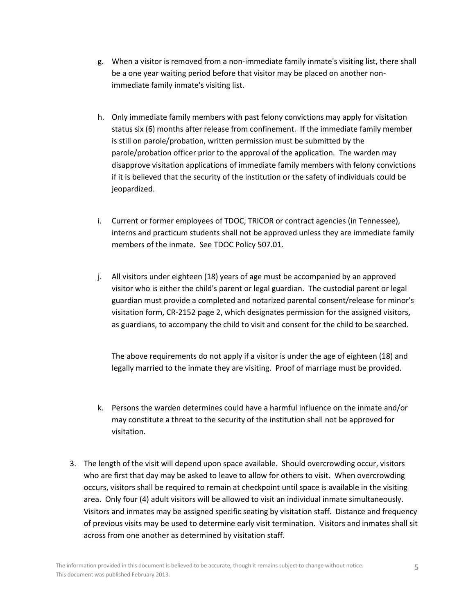- g. When a visitor is removed from a non-immediate family inmate's visiting list, there shall be a one year waiting period before that visitor may be placed on another nonimmediate family inmate's visiting list.
- h. Only immediate family members with past felony convictions may apply for visitation status six (6) months after release from confinement. If the immediate family member is still on parole/probation, written permission must be submitted by the parole/probation officer prior to the approval of the application. The warden may disapprove visitation applications of immediate family members with felony convictions if it is believed that the security of the institution or the safety of individuals could be jeopardized.
- i. Current or former employees of TDOC, TRICOR or contract agencies (in Tennessee), interns and practicum students shall not be approved unless they are immediate family members of the inmate. See TDOC Policy 507.01.
- j. All visitors under eighteen (18) years of age must be accompanied by an approved visitor who is either the child's parent or legal guardian. The custodial parent or legal guardian must provide a completed and notarized parental consent/release for minor's visitation form, CR-2152 page 2, which designates permission for the assigned visitors, as guardians, to accompany the child to visit and consent for the child to be searched.

The above requirements do not apply if a visitor is under the age of eighteen (18) and legally married to the inmate they are visiting. Proof of marriage must be provided.

- k. Persons the warden determines could have a harmful influence on the inmate and/or may constitute a threat to the security of the institution shall not be approved for visitation.
- 3. The length of the visit will depend upon space available. Should overcrowding occur, visitors who are first that day may be asked to leave to allow for others to visit. When overcrowding occurs, visitors shall be required to remain at checkpoint until space is available in the visiting area. Only four (4) adult visitors will be allowed to visit an individual inmate simultaneously. Visitors and inmates may be assigned specific seating by visitation staff. Distance and frequency of previous visits may be used to determine early visit termination. Visitors and inmates shall sit across from one another as determined by visitation staff.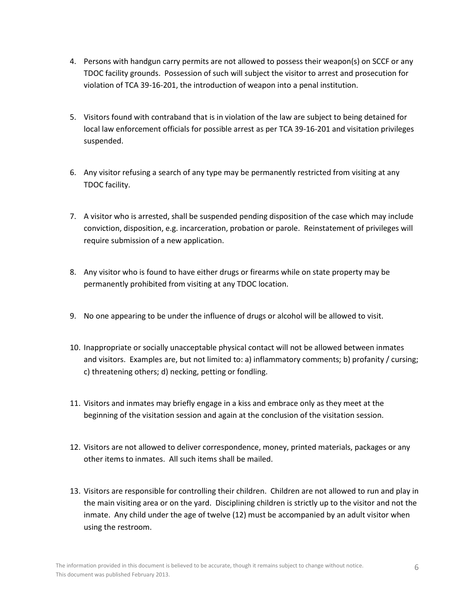- 4. Persons with handgun carry permits are not allowed to possess their weapon(s) on SCCF or any TDOC facility grounds. Possession of such will subject the visitor to arrest and prosecution for violation of TCA 39-16-201, the introduction of weapon into a penal institution.
- 5. Visitors found with contraband that is in violation of the law are subject to being detained for local law enforcement officials for possible arrest as per TCA 39-16-201 and visitation privileges suspended.
- 6. Any visitor refusing a search of any type may be permanently restricted from visiting at any TDOC facility.
- 7. A visitor who is arrested, shall be suspended pending disposition of the case which may include conviction, disposition, e.g. incarceration, probation or parole. Reinstatement of privileges will require submission of a new application.
- 8. Any visitor who is found to have either drugs or firearms while on state property may be permanently prohibited from visiting at any TDOC location.
- 9. No one appearing to be under the influence of drugs or alcohol will be allowed to visit.
- 10. Inappropriate or socially unacceptable physical contact will not be allowed between inmates and visitors. Examples are, but not limited to: a) inflammatory comments; b) profanity / cursing; c) threatening others; d) necking, petting or fondling.
- 11. Visitors and inmates may briefly engage in a kiss and embrace only as they meet at the beginning of the visitation session and again at the conclusion of the visitation session.
- 12. Visitors are not allowed to deliver correspondence, money, printed materials, packages or any other items to inmates. All such items shall be mailed.
- 13. Visitors are responsible for controlling their children. Children are not allowed to run and play in the main visiting area or on the yard. Disciplining children is strictly up to the visitor and not the inmate. Any child under the age of twelve (12) must be accompanied by an adult visitor when using the restroom.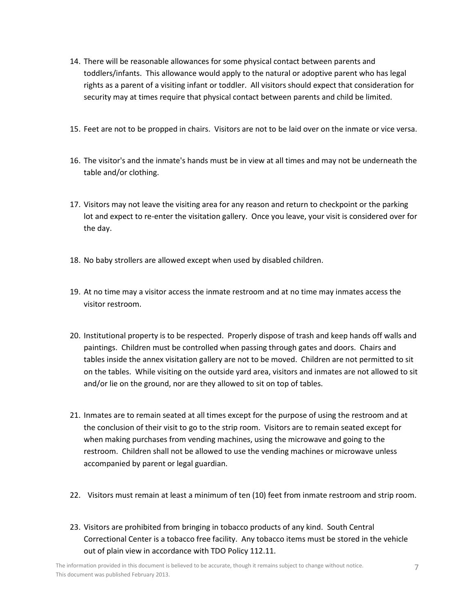- 14. There will be reasonable allowances for some physical contact between parents and toddlers/infants. This allowance would apply to the natural or adoptive parent who has legal rights as a parent of a visiting infant or toddler. All visitors should expect that consideration for security may at times require that physical contact between parents and child be limited.
- 15. Feet are not to be propped in chairs. Visitors are not to be laid over on the inmate or vice versa.
- 16. The visitor's and the inmate's hands must be in view at all times and may not be underneath the table and/or clothing.
- 17. Visitors may not leave the visiting area for any reason and return to checkpoint or the parking lot and expect to re-enter the visitation gallery. Once you leave, your visit is considered over for the day.
- 18. No baby strollers are allowed except when used by disabled children.
- 19. At no time may a visitor access the inmate restroom and at no time may inmates access the visitor restroom.
- 20. Institutional property is to be respected. Properly dispose of trash and keep hands off walls and paintings. Children must be controlled when passing through gates and doors. Chairs and tables inside the annex visitation gallery are not to be moved. Children are not permitted to sit on the tables. While visiting on the outside yard area, visitors and inmates are not allowed to sit and/or lie on the ground, nor are they allowed to sit on top of tables.
- 21. Inmates are to remain seated at all times except for the purpose of using the restroom and at the conclusion of their visit to go to the strip room. Visitors are to remain seated except for when making purchases from vending machines, using the microwave and going to the restroom. Children shall not be allowed to use the vending machines or microwave unless accompanied by parent or legal guardian.
- 22. Visitors must remain at least a minimum of ten (10) feet from inmate restroom and strip room.
- 23. Visitors are prohibited from bringing in tobacco products of any kind. South Central Correctional Center is a tobacco free facility. Any tobacco items must be stored in the vehicle out of plain view in accordance with TDO Policy 112.11.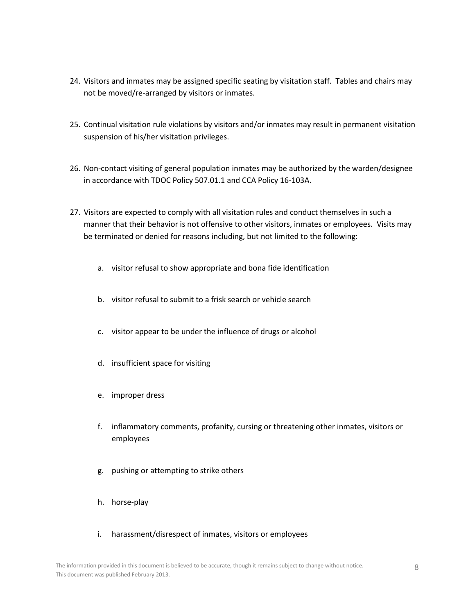- 24. Visitors and inmates may be assigned specific seating by visitation staff. Tables and chairs may not be moved/re-arranged by visitors or inmates.
- 25. Continual visitation rule violations by visitors and/or inmates may result in permanent visitation suspension of his/her visitation privileges.
- 26. Non-contact visiting of general population inmates may be authorized by the warden/designee in accordance with TDOC Policy 507.01.1 and CCA Policy 16-103A.
- 27. Visitors are expected to comply with all visitation rules and conduct themselves in such a manner that their behavior is not offensive to other visitors, inmates or employees. Visits may be terminated or denied for reasons including, but not limited to the following:
	- a. visitor refusal to show appropriate and bona fide identification
	- b. visitor refusal to submit to a frisk search or vehicle search
	- c. visitor appear to be under the influence of drugs or alcohol
	- d. insufficient space for visiting
	- e. improper dress
	- f. inflammatory comments, profanity, cursing or threatening other inmates, visitors or employees
	- g. pushing or attempting to strike others
	- h. horse-play
	- i. harassment/disrespect of inmates, visitors or employees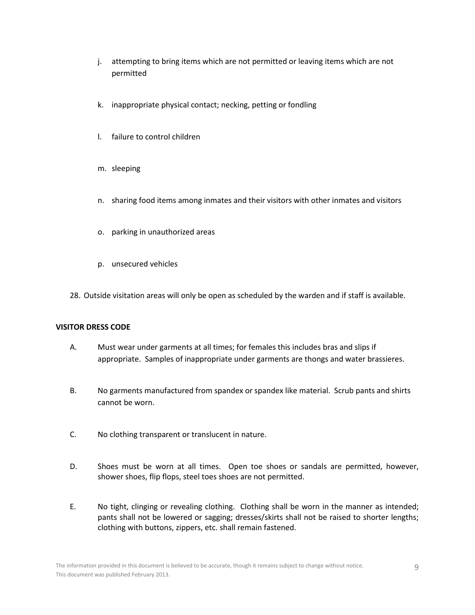- j. attempting to bring items which are not permitted or leaving items which are not permitted
- k. inappropriate physical contact; necking, petting or fondling
- l. failure to control children
- m. sleeping
- n. sharing food items among inmates and their visitors with other inmates and visitors
- o. parking in unauthorized areas
- p. unsecured vehicles
- 28. Outside visitation areas will only be open as scheduled by the warden and if staff is available.

### **VISITOR DRESS CODE**

- A. Must wear under garments at all times; for females this includes bras and slips if appropriate. Samples of inappropriate under garments are thongs and water brassieres.
- B. No garments manufactured from spandex or spandex like material. Scrub pants and shirts cannot be worn.
- C. No clothing transparent or translucent in nature.
- D. Shoes must be worn at all times. Open toe shoes or sandals are permitted, however, shower shoes, flip flops, steel toes shoes are not permitted.
- E. No tight, clinging or revealing clothing. Clothing shall be worn in the manner as intended; pants shall not be lowered or sagging; dresses/skirts shall not be raised to shorter lengths; clothing with buttons, zippers, etc. shall remain fastened.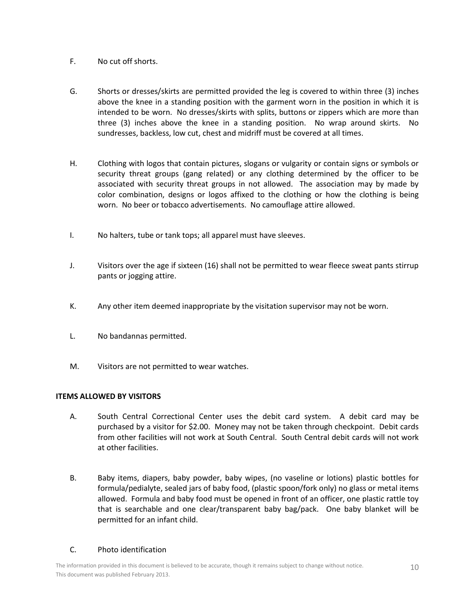- F. No cut off shorts.
- G. Shorts or dresses/skirts are permitted provided the leg is covered to within three (3) inches above the knee in a standing position with the garment worn in the position in which it is intended to be worn. No dresses/skirts with splits, buttons or zippers which are more than three (3) inches above the knee in a standing position. No wrap around skirts. No sundresses, backless, low cut, chest and midriff must be covered at all times.
- H. Clothing with logos that contain pictures, slogans or vulgarity or contain signs or symbols or security threat groups (gang related) or any clothing determined by the officer to be associated with security threat groups in not allowed. The association may by made by color combination, designs or logos affixed to the clothing or how the clothing is being worn. No beer or tobacco advertisements. No camouflage attire allowed.
- I. No halters, tube or tank tops; all apparel must have sleeves.
- J. Visitors over the age if sixteen (16) shall not be permitted to wear fleece sweat pants stirrup pants or jogging attire.
- K. Any other item deemed inappropriate by the visitation supervisor may not be worn.
- L. No bandannas permitted.
- M. Visitors are not permitted to wear watches.

### **ITEMS ALLOWED BY VISITORS**

- A. South Central Correctional Center uses the debit card system. A debit card may be purchased by a visitor for \$2.00. Money may not be taken through checkpoint. Debit cards from other facilities will not work at South Central. South Central debit cards will not work at other facilities.
- B. Baby items, diapers, baby powder, baby wipes, (no vaseline or lotions) plastic bottles for formula/pedialyte, sealed jars of baby food, (plastic spoon/fork only) no glass or metal items allowed. Formula and baby food must be opened in front of an officer, one plastic rattle toy that is searchable and one clear/transparent baby bag/pack. One baby blanket will be permitted for an infant child.

### C. Photo identification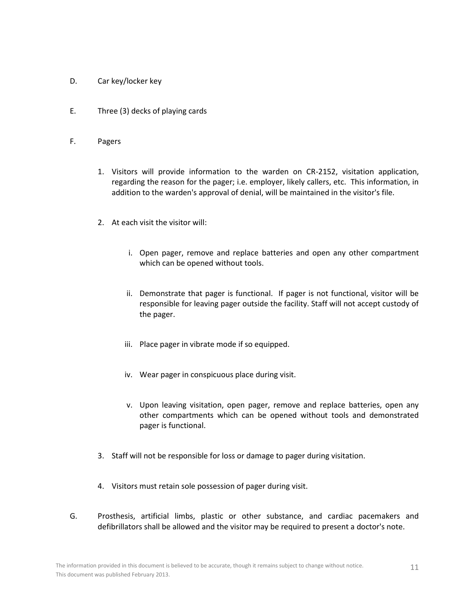- D. Car key/locker key
- E. Three (3) decks of playing cards
- F. Pagers
	- 1. Visitors will provide information to the warden on CR-2152, visitation application, regarding the reason for the pager; i.e. employer, likely callers, etc. This information, in addition to the warden's approval of denial, will be maintained in the visitor's file.
	- 2. At each visit the visitor will:
		- i. Open pager, remove and replace batteries and open any other compartment which can be opened without tools.
		- ii. Demonstrate that pager is functional. If pager is not functional, visitor will be responsible for leaving pager outside the facility. Staff will not accept custody of the pager.
		- iii. Place pager in vibrate mode if so equipped.
		- iv. Wear pager in conspicuous place during visit.
		- v. Upon leaving visitation, open pager, remove and replace batteries, open any other compartments which can be opened without tools and demonstrated pager is functional.
	- 3. Staff will not be responsible for loss or damage to pager during visitation.
	- 4. Visitors must retain sole possession of pager during visit.
- G. Prosthesis, artificial limbs, plastic or other substance, and cardiac pacemakers and defibrillators shall be allowed and the visitor may be required to present a doctor's note.